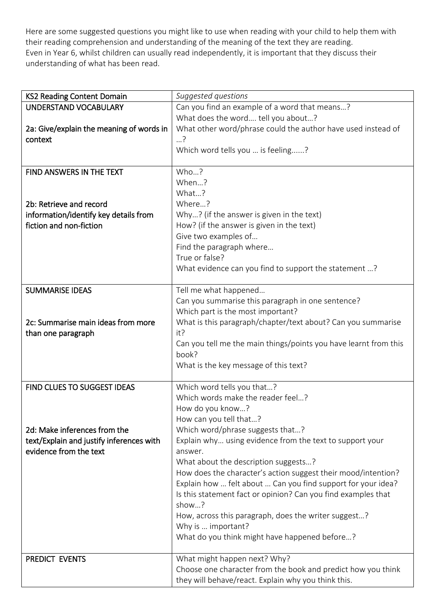Here are some suggested questions you might like to use when reading with your child to help them with their reading comprehension and understanding of the meaning of the text they are reading. Even in Year 6, whilst children can usually read independently, it is important that they discuss their understanding of what has been read.

| <b>KS2 Reading Content Domain</b>        | Suggested questions                                                        |
|------------------------------------------|----------------------------------------------------------------------------|
| UNDERSTAND VOCABULARY                    | Can you find an example of a word that means?                              |
|                                          | What does the word tell you about?                                         |
| 2a: Give/explain the meaning of words in | What other word/phrase could the author have used instead of               |
| context                                  | ?…                                                                         |
|                                          | Which word tells you  is feeling?                                          |
|                                          |                                                                            |
| FIND ANSWERS IN THE TEXT                 | Who?                                                                       |
|                                          | When?                                                                      |
|                                          | What?                                                                      |
| 2b: Retrieve and record                  | Where?                                                                     |
| information/identify key details from    | Why? (if the answer is given in the text)                                  |
| fiction and non-fiction                  | How? (if the answer is given in the text)                                  |
|                                          | Give two examples of                                                       |
|                                          | Find the paragraph where                                                   |
|                                          | True or false?                                                             |
|                                          | What evidence can you find to support the statement ?                      |
|                                          |                                                                            |
| <b>SUMMARISE IDEAS</b>                   | Tell me what happened                                                      |
|                                          | Can you summarise this paragraph in one sentence?                          |
|                                          | Which part is the most important?                                          |
| 2c: Summarise main ideas from more       | What is this paragraph/chapter/text about? Can you summarise               |
| than one paragraph                       | it?                                                                        |
|                                          | Can you tell me the main things/points you have learnt from this           |
|                                          | book?                                                                      |
|                                          | What is the key message of this text?                                      |
|                                          |                                                                            |
| <b>FIND CLUES TO SUGGEST IDEAS</b>       | Which word tells you that?                                                 |
|                                          | Which words make the reader feel?                                          |
|                                          | How do you know?                                                           |
|                                          | How can you tell that?                                                     |
| 2d: Make inferences from the             | Which word/phrase suggests that?                                           |
| text/Explain and justify inferences with | Explain why using evidence from the text to support your                   |
| evidence from the text                   | answer.                                                                    |
|                                          | What about the description suggests?                                       |
|                                          | How does the character's action suggest their mood/intention?              |
|                                          | Explain how  felt about  Can you find support for your idea?               |
|                                          | Is this statement fact or opinion? Can you find examples that              |
|                                          | show?                                                                      |
|                                          |                                                                            |
|                                          | How, across this paragraph, does the writer suggest?<br>Why is  important? |
|                                          |                                                                            |
|                                          | What do you think might have happened before?                              |
| PREDICT EVENTS                           | What might happen next? Why?                                               |
|                                          | Choose one character from the book and predict how you think               |
|                                          | they will behave/react. Explain why you think this.                        |
|                                          |                                                                            |